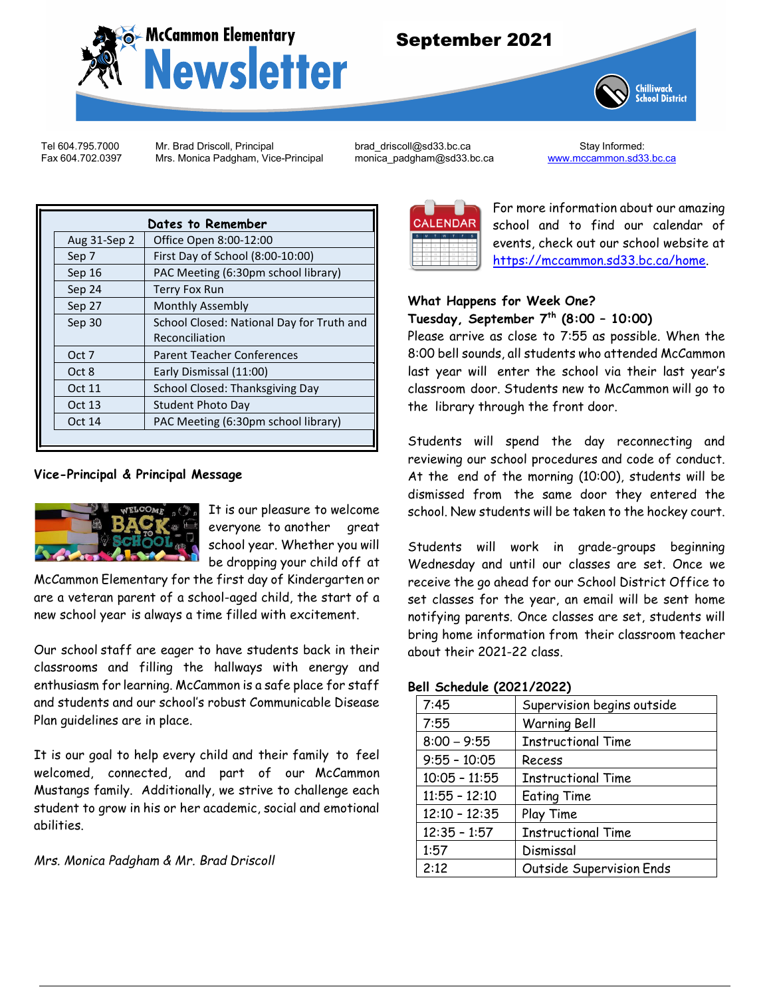

# September 2021



Tel 604.795.7000 Mr. Brad Driscoll, Principal [brad\\_driscoll@sd33.bc.ca](mailto:brad_driscoll@sd33.bc.ca) Stay Informed:<br>Eax 604.702.0397 Mrs. Monica Padgham, Vice-Principal monica\_padgham@sd33.bc.ca www.mccammon.sd33.bc.ca Mrs. Monica Padgham, Vice-Principal

| Dates to Remember |                                           |  |  |
|-------------------|-------------------------------------------|--|--|
| Aug 31-Sep 2      | Office Open 8:00-12:00                    |  |  |
| Sep 7             | First Day of School (8:00-10:00)          |  |  |
| Sep 16            | PAC Meeting (6:30pm school library)       |  |  |
| Sep 24            | <b>Terry Fox Run</b>                      |  |  |
| Sep 27            | <b>Monthly Assembly</b>                   |  |  |
| Sep 30            | School Closed: National Day for Truth and |  |  |
|                   | Reconciliation                            |  |  |
| Oct 7             | <b>Parent Teacher Conferences</b>         |  |  |
| Oct 8             | Early Dismissal (11:00)                   |  |  |
| Oct 11            | School Closed: Thanksgiving Day           |  |  |
| Oct 13            | Student Photo Day                         |  |  |
| Oct 14            | PAC Meeting (6:30pm school library)       |  |  |
|                   |                                           |  |  |

### **Vice-Principal & Principal Message**



It is our pleasure to welcome everyone to another great school year. Whether you will be dropping your child off at

McCammon Elementary for the first day of Kindergarten or are a veteran parent of a school-aged child, the start of a new school year is always a time filled with excitement.

Our school staff are eager to have students back in their classrooms and filling the hallways with energy and enthusiasm for learning. McCammon is a safe place for staff and students and our school's robust Communicable Disease Plan guidelines are in place.

It is our goal to help every child and their family to feel welcomed, connected, and part of our McCammon Mustangs family. Additionally, we strive to challenge each student to grow in his or her academic, social and emotional abilities.

*Mrs. Monica Padgham & Mr. Brad Driscoll*



For more information about our amazing school and to find our calendar of events, check out our school website at [https://mccammon.sd33.bc.ca/home.](https://mccammon.sd33.bc.ca/home)

### **What Happens for Week One? Tuesday, September 7th (8:00 – 10:00)**

Please arrive as close to 7:55 as possible. When the 8:00 bell sounds, all students who attended McCammon last year will enter the school via their last year's classroom door. Students new to McCammon will go to the library through the front door.

Students will spend the day reconnecting and reviewing our school procedures and code of conduct. At the end of the morning (10:00), students will be dismissed from the same door they entered the school. New students will be taken to the hockey court.

Students will work in grade-groups beginning Wednesday and until our classes are set. Once we receive the go ahead for our School District Office to set classes for the year, an email will be sent home notifying parents. Once classes are set, students will bring home information from their classroom teacher about their 2021-22 class.

#### **Bell Schedule (2021/2022)**

| 7:45            | Supervision begins outside |  |
|-----------------|----------------------------|--|
| 7:55            | <b>Warning Bell</b>        |  |
| $8:00 - 9:55$   | <b>Instructional Time</b>  |  |
| $9:55 - 10:05$  | Recess                     |  |
| $10:05 - 11:55$ | <b>Instructional Time</b>  |  |
| $11:55 - 12:10$ | <b>Eating Time</b>         |  |
| $12:10 - 12:35$ | Play Time                  |  |
| $12:35 - 1:57$  | <b>Instructional Time</b>  |  |
| 1:57            | Dismissal                  |  |
| 2:12            | Outside Supervision Ends   |  |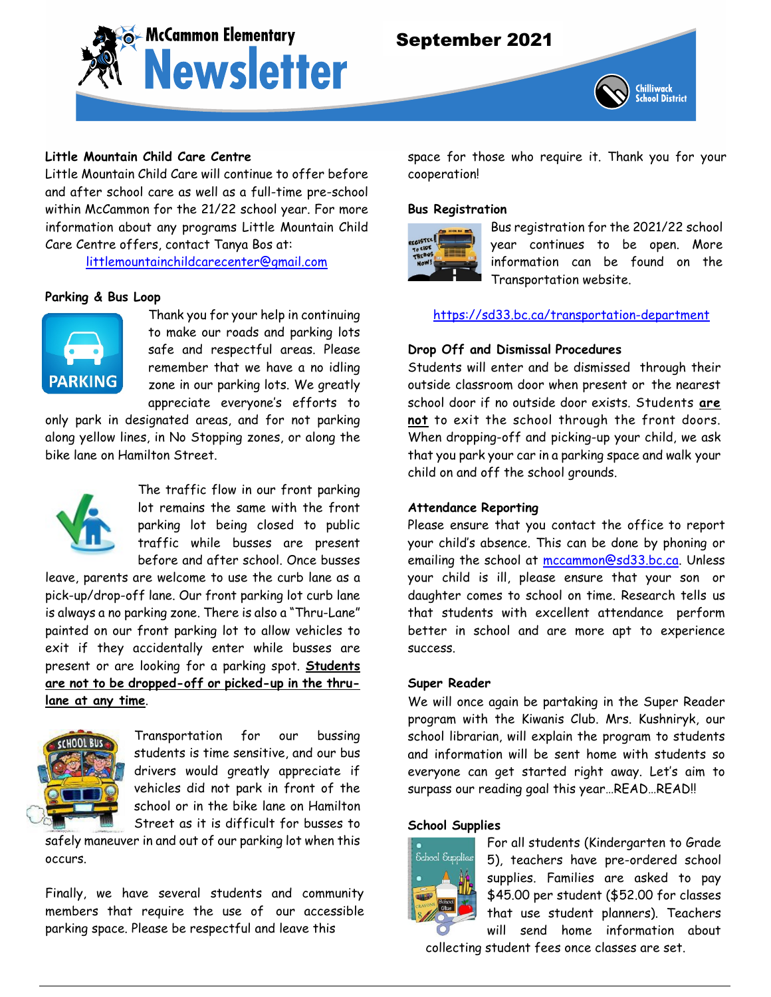

# September 2021



### **Little Mountain Child Care Centre**

Little Mountain Child Care will continue to offer before and after school care as well as a full-time pre-school within McCammon for the 21/22 school year. For more information about any programs Little Mountain Child Care Centre offers, contact Tanya Bos at:

[littlemountainchildcarecenter@gmail.com](mailto:littlemountainchildcarecenter@gmail.com)

### **Parking & Bus Loop**



Thank you for your help in continuing to make our roads and parking lots safe and respectful areas. Please remember that we have a no idling zone in our parking lots. We greatly appreciate everyone's efforts to

only park in designated areas, and for not parking along yellow lines, in No Stopping zones, or along the bike lane on Hamilton Street.



The traffic flow in our front parking lot remains the same with the front parking lot being closed to public traffic while busses are present before and after school. Once busses

leave, parents are welcome to use the curb lane as a pick-up/drop-off lane. Our front parking lot curb lane is always a no parking zone. There is also a "Thru-Lane" painted on our front parking lot to allow vehicles to exit if they accidentally enter while busses are present or are looking for a parking spot. **Students are not to be dropped-off or picked-up in the thrulane at any time**.



Transportation for our bussing students is time sensitive, and our bus drivers would greatly appreciate if vehicles did not park in front of the school or in the bike lane on Hamilton Street as it is difficult for busses to

safely maneuver in and out of our parking lot when this occurs.

Finally, we have several students and community members that require the use of our accessible parking space. Please be respectful and leave this

space for those who require it. Thank you for your cooperation!

#### **Bus Registration**



Bus registration for the 2021/22 school year continues to be open. More information can be found on the Transportation website.

<https://sd33.bc.ca/transportation-department>

### **Drop Off and Dismissal Procedures**

Students will enter and be dismissed through their outside classroom door when present or the nearest school door if no outside door exists. Students **are not** to exit the school through the front doors. When dropping-off and picking-up your child, we ask that you park your car in a parking space and walk your child on and off the school grounds.

### **Attendance Reporting**

Please ensure that you contact the office to report your child's absence. This can be done by phoning or emailing the school at [mccammon@sd33.bc.ca.](mailto:mccammon@sd33.bc.ca) Unless your child is ill, please ensure that your son or daughter comes to school on time. Research tells us that students with excellent attendance perform better in school and are more apt to experience success.

#### **Super Reader**

We will once again be partaking in the Super Reader program with the Kiwanis Club. Mrs. Kushniryk, our school librarian, will explain the program to students and information will be sent home with students so everyone can get started right away. Let's aim to surpass our reading goal this year…READ…READ!!

#### **School Supplies**



For all students (Kindergarten to Grade 5), teachers have pre-ordered school supplies. Families are asked to pay \$45.00 per student (\$52.00 for classes that use student planners). Teachers will send home information about

collecting student fees once classes are set.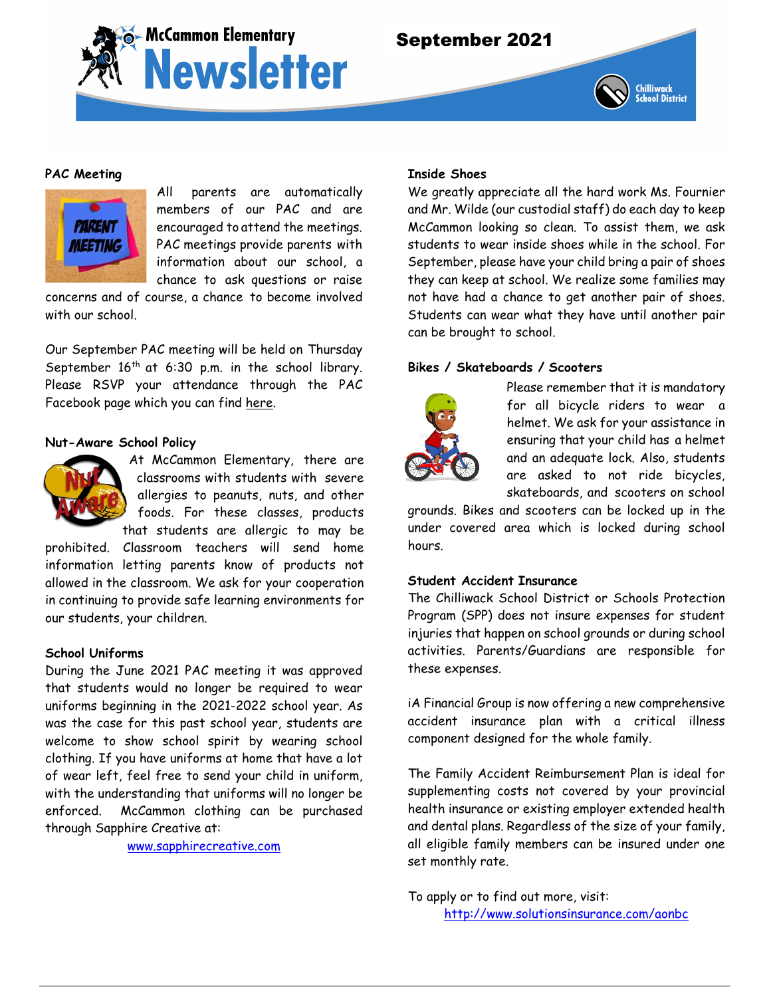



### **PAC Meeting**



All parents are automatically members of our PAC and are encouraged to attend the meetings. PAC meetings provide parents with information about our school, a chance to ask questions or raise

concerns and of course, a chance to become involved with our school.

Our September PAC meeting will be held on Thursday September  $16<sup>th</sup>$  at 6:30 p.m. in the school library. Please RSVP your attendance through the PAC Facebook page which you can find [here.](https://www.facebook.com/events/chilliwack-british-columbia/mccammon-traditional-elementary-school-online-auction/3514376775345628/)

### **Nut-Aware School Policy**



At McCammon Elementary, there are classrooms with students with severe allergies to peanuts, nuts, and other foods. For these classes, products that students are allergic to may be

prohibited. Classroom teachers will send home information letting parents know of products not allowed in the classroom. We ask for your cooperation in continuing to provide safe learning environments for our students, your children.

### **School Uniforms**

During the June 2021 PAC meeting it was approved that students would no longer be required to wear uniforms beginning in the 2021-2022 school year. As was the case for this past school year, students are welcome to show school spirit by wearing school clothing. If you have uniforms at home that have a lot of wear left, feel free to send your child in uniform, with the understanding that uniforms will no longer be enforced. McCammon clothing can be purchased through Sapphire Creative at:

[www.sapphirecreative.com](http://www.sapphirecreative.com/)

### **Inside Shoes**

We greatly appreciate all the hard work Ms. Fournier and Mr. Wilde (our custodial staff) do each day to keep McCammon looking so clean. To assist them, we ask students to wear inside shoes while in the school. For September, please have your child bring a pair of shoes they can keep at school. We realize some families may not have had a chance to get another pair of shoes. Students can wear what they have until another pair can be brought to school.

### **Bikes / Skateboards / Scooters**



Please remember that it is mandatory for all bicycle riders to wear a helmet. We ask for your assistance in ensuring that your child has a helmet and an adequate lock. Also, students are asked to not ride bicycles, skateboards, and scooters on school

grounds. Bikes and scooters can be locked up in the under covered area which is locked during school hours.

### **Student Accident Insurance**

The Chilliwack School District or Schools Protection Program (SPP) does not insure expenses for student injuries that happen on school grounds or during school activities. Parents/Guardians are responsible for these expenses.

iA Financial Group is now offering a new comprehensive accident insurance plan with a critical illness component designed for the whole family.

The Family Accident Reimbursement Plan is ideal for supplementing costs not covered by your provincial health insurance or existing employer extended health and dental plans. Regardless of the size of your family, all eligible family members can be insured under one set monthly rate.

To apply or to find out more, visit: <http://www.solutionsinsurance.com/aonbc>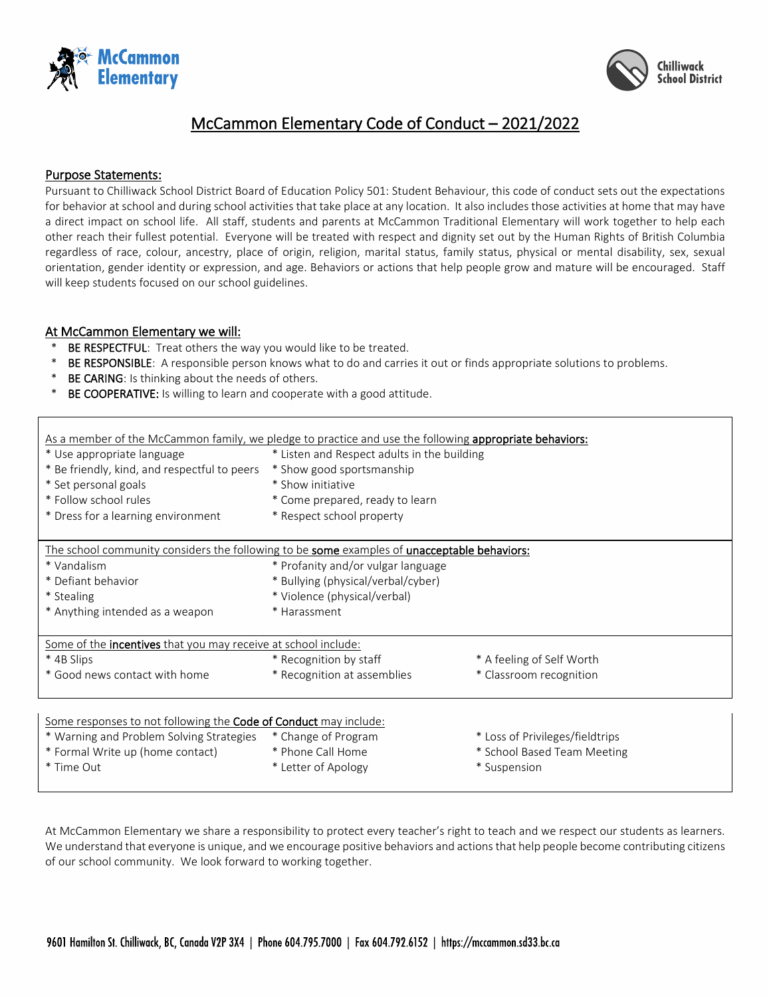



# McCammon Elementary Code of Conduct – 2021/2022

### Purpose Statements:

Pursuant to Chilliwack School District Board of Education Policy 501: Student Behaviour, this code of conduct sets out the expectations for behavior at school and during school activities that take place at any location. It also includes those activities at home that may have a direct impact on school life. All staff, students and parents at McCammon Traditional Elementary will work together to help each other reach their fullest potential. Everyone will be treated with respect and dignity set out by the Human Rights of British Columbia regardless of race, colour, ancestry, place of origin, religion, marital status, family status, physical or mental disability, sex, sexual orientation, gender identity or expression, and age. Behaviors or actions that help people grow and mature will be encouraged. Staff will keep students focused on our school guidelines.

### At McCammon Elementary we will:

- BE RESPECTFUL: Treat others the way you would like to be treated.
- \* BE RESPONSIBLE: A responsible person knows what to do and carries it out or finds appropriate solutions to problems.
- BE CARING: Is thinking about the needs of others.
- BE COOPERATIVE: Is willing to learn and cooperate with a good attitude.

| As a member of the McCammon family, we pledge to practice and use the following appropriate behaviors: |                                             |                                 |  |
|--------------------------------------------------------------------------------------------------------|---------------------------------------------|---------------------------------|--|
| * Use appropriate language                                                                             | * Listen and Respect adults in the building |                                 |  |
| * Be friendly, kind, and respectful to peers                                                           | * Show good sportsmanship                   |                                 |  |
| * Set personal goals                                                                                   | * Show initiative                           |                                 |  |
| * Follow school rules                                                                                  | * Come prepared, ready to learn             |                                 |  |
| * Dress for a learning environment                                                                     | * Respect school property                   |                                 |  |
| The school community considers the following to be some examples of unacceptable behaviors:            |                                             |                                 |  |
| * Vandalism                                                                                            | * Profanity and/or vulgar language          |                                 |  |
| * Defiant behavior                                                                                     | * Bullying (physical/verbal/cyber)          |                                 |  |
| * Stealing                                                                                             | * Violence (physical/verbal)                |                                 |  |
| * Anything intended as a weapon                                                                        | * Harassment                                |                                 |  |
| Some of the <b>incentives</b> that you may receive at school include:                                  |                                             |                                 |  |
| * 4B Slips                                                                                             | * Recognition by staff                      | * A feeling of Self Worth       |  |
| * Good news contact with home                                                                          | * Recognition at assemblies                 | * Classroom recognition         |  |
|                                                                                                        |                                             |                                 |  |
| Some responses to not following the Code of Conduct may include:                                       |                                             |                                 |  |
| * Warning and Problem Solving Strategies                                                               | * Change of Program                         | * Loss of Privileges/fieldtrips |  |
| * Formal Write up (home contact)                                                                       | * Phone Call Home                           | * School Based Team Meeting     |  |
| * Time Out                                                                                             | * Letter of Apology                         | * Suspension                    |  |

At McCammon Elementary we share a responsibility to protect every teacher's right to teach and we respect our students as learners. We understand that everyone is unique, and we encourage positive behaviors and actions that help people become contributing citizens of our school community. We look forward to working together.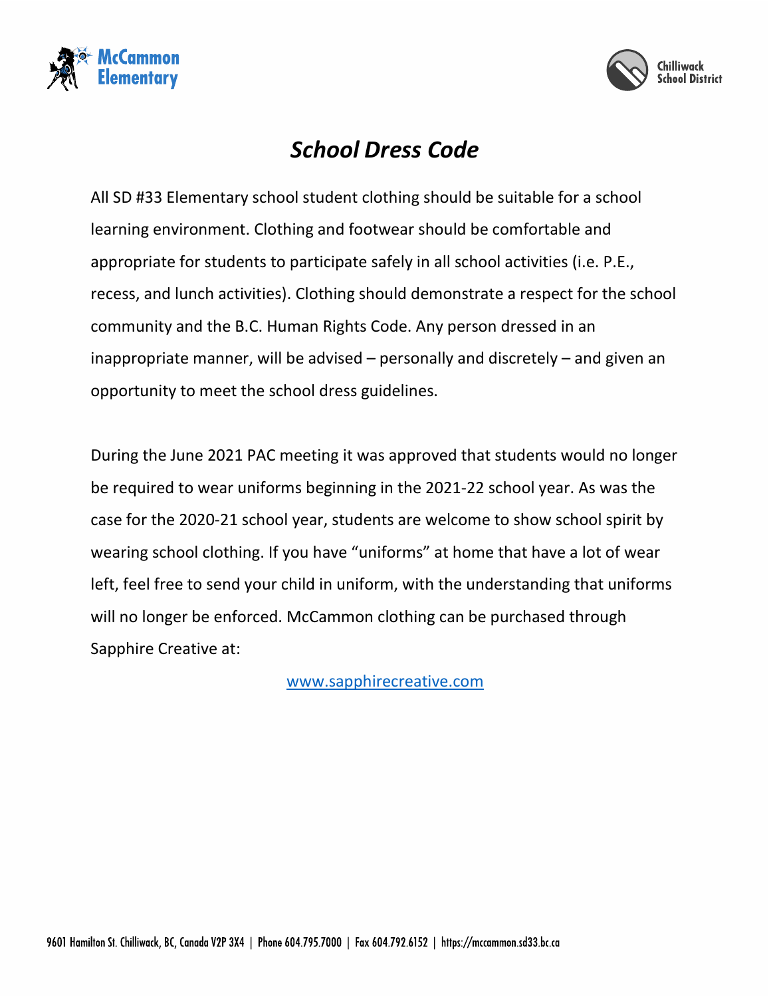



# *School Dress Code*

All SD #33 Elementary school student clothing should be suitable for a school learning environment. Clothing and footwear should be comfortable and appropriate for students to participate safely in all school activities (i.e. P.E., recess, and lunch activities). Clothing should demonstrate a respect for the school community and the B.C. Human Rights Code. Any person dressed in an inappropriate manner, will be advised – personally and discretely – and given an opportunity to meet the school dress guidelines.

During the June 2021 PAC meeting it was approved that students would no longer be required to wear uniforms beginning in the 2021-22 school year. As was the case for the 2020-21 school year, students are welcome to show school spirit by wearing school clothing. If you have "uniforms" at home that have a lot of wear left, feel free to send your child in uniform, with the understanding that uniforms will no longer be enforced. McCammon clothing can be purchased through Sapphire Creative at:

<www.sapphirecreative.com>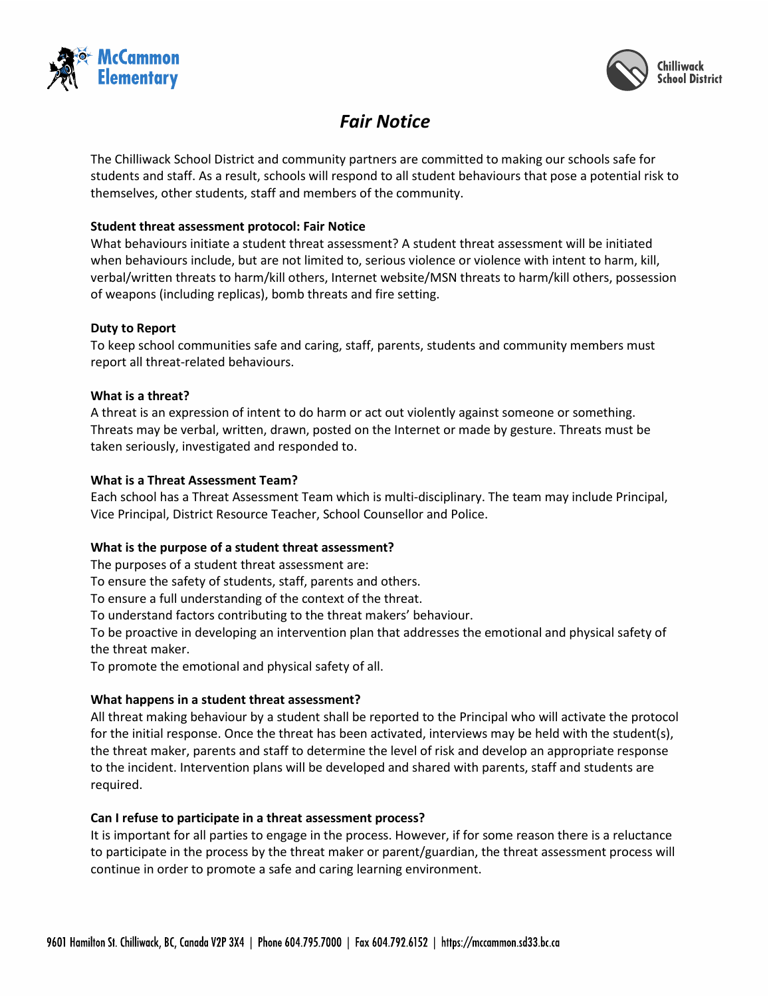



# *Fair Notice*

The Chilliwack School District and community partners are committed to making our schools safe for students and staff. As a result, schools will respond to all student behaviours that pose a potential risk to themselves, other students, staff and members of the community.

### **Student threat assessment protocol: Fair Notice**

What behaviours initiate a student threat assessment? A student threat assessment will be initiated when behaviours include, but are not limited to, serious violence or violence with intent to harm, kill, verbal/written threats to harm/kill others, Internet website/MSN threats to harm/kill others, possession of weapons (including replicas), bomb threats and fire setting.

### **Duty to Report**

To keep school communities safe and caring, staff, parents, students and community members must report all threat-related behaviours.

### **What is a threat?**

A threat is an expression of intent to do harm or act out violently against someone or something. Threats may be verbal, written, drawn, posted on the Internet or made by gesture. Threats must be taken seriously, investigated and responded to.

### **What is a Threat Assessment Team?**

Each school has a Threat Assessment Team which is multi-disciplinary. The team may include Principal, Vice Principal, District Resource Teacher, School Counsellor and Police.

## **What is the purpose of a student threat assessment?**

The purposes of a student threat assessment are:

To ensure the safety of students, staff, parents and others.

To ensure a full understanding of the context of the threat.

To understand factors contributing to the threat makers' behaviour.

To be proactive in developing an intervention plan that addresses the emotional and physical safety of the threat maker.

To promote the emotional and physical safety of all.

## **What happens in a student threat assessment?**

All threat making behaviour by a student shall be reported to the Principal who will activate the protocol for the initial response. Once the threat has been activated, interviews may be held with the student(s), the threat maker, parents and staff to determine the level of risk and develop an appropriate response to the incident. Intervention plans will be developed and shared with parents, staff and students are required.

## **Can I refuse to participate in a threat assessment process?**

It is important for all parties to engage in the process. However, if for some reason there is a reluctance to participate in the process by the threat maker or parent/guardian, the threat assessment process will continue in order to promote a safe and caring learning environment.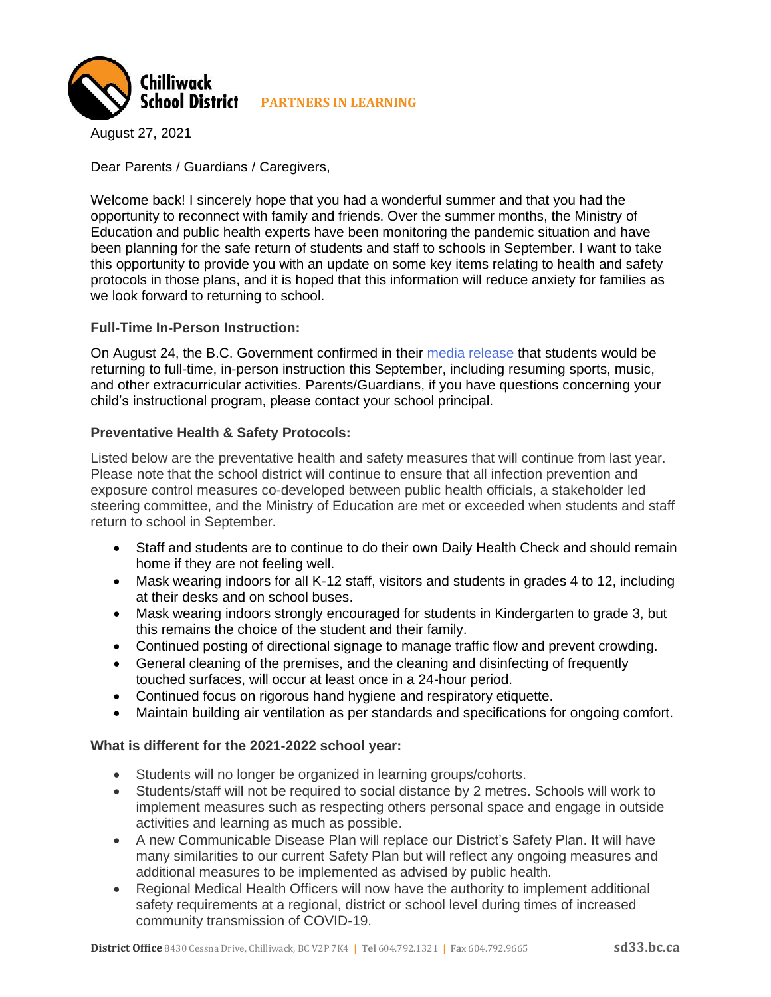

August 27, 2021

Dear Parents / Guardians / Caregivers,

Welcome back! I sincerely hope that you had a wonderful summer and that you had the opportunity to reconnect with family and friends. Over the summer months, the Ministry of Education and public health experts have been monitoring the pandemic situation and have been planning for the safe return of students and staff to schools in September. I want to take this opportunity to provide you with an update on some key items relating to health and safety protocols in those plans, and it is hoped that this information will reduce anxiety for families as we look forward to returning to school.

### **Full-Time In-Person Instruction:**

On August 24, the B.C. Government confirmed in their [media release](https://news.gov.bc.ca/releases/2021EDUC0058-001663) that students would be returning to full-time, in-person instruction this September, including resuming sports, music, and other extracurricular activities. Parents/Guardians, if you have questions concerning your child's instructional program, please contact your school principal.

### **Preventative Health & Safety Protocols:**

Listed below are the preventative health and safety measures that will continue from last year. Please note that the school district will continue to ensure that all infection prevention and exposure control measures co-developed between public health officials, a stakeholder led steering committee, and the Ministry of Education are met or exceeded when students and staff return to school in September.

- Staff and students are to continue to do their own Daily Health Check and should remain home if they are not feeling well.
- Mask wearing indoors for all K-12 staff, visitors and students in grades 4 to 12, including at their desks and on school buses.
- Mask wearing indoors strongly encouraged for students in Kindergarten to grade 3, but this remains the choice of the student and their family.
- Continued posting of directional signage to manage traffic flow and prevent crowding.
- General cleaning of the premises, and the cleaning and disinfecting of frequently touched surfaces, will occur at least once in a 24-hour period.
- Continued focus on rigorous hand hygiene and respiratory etiquette.
- Maintain building air ventilation as per standards and specifications for ongoing comfort.

### **What is different for the 2021-2022 school year:**

- Students will no longer be organized in learning groups/cohorts.
- Students/staff will not be required to social distance by 2 metres. Schools will work to implement measures such as respecting others personal space and engage in outside activities and learning as much as possible.
- A new Communicable Disease Plan will replace our District's Safety Plan. It will have many similarities to our current Safety Plan but will reflect any ongoing measures and additional measures to be implemented as advised by public health.
- Regional Medical Health Officers will now have the authority to implement additional safety requirements at a regional, district or school level during times of increased community transmission of COVID-19.